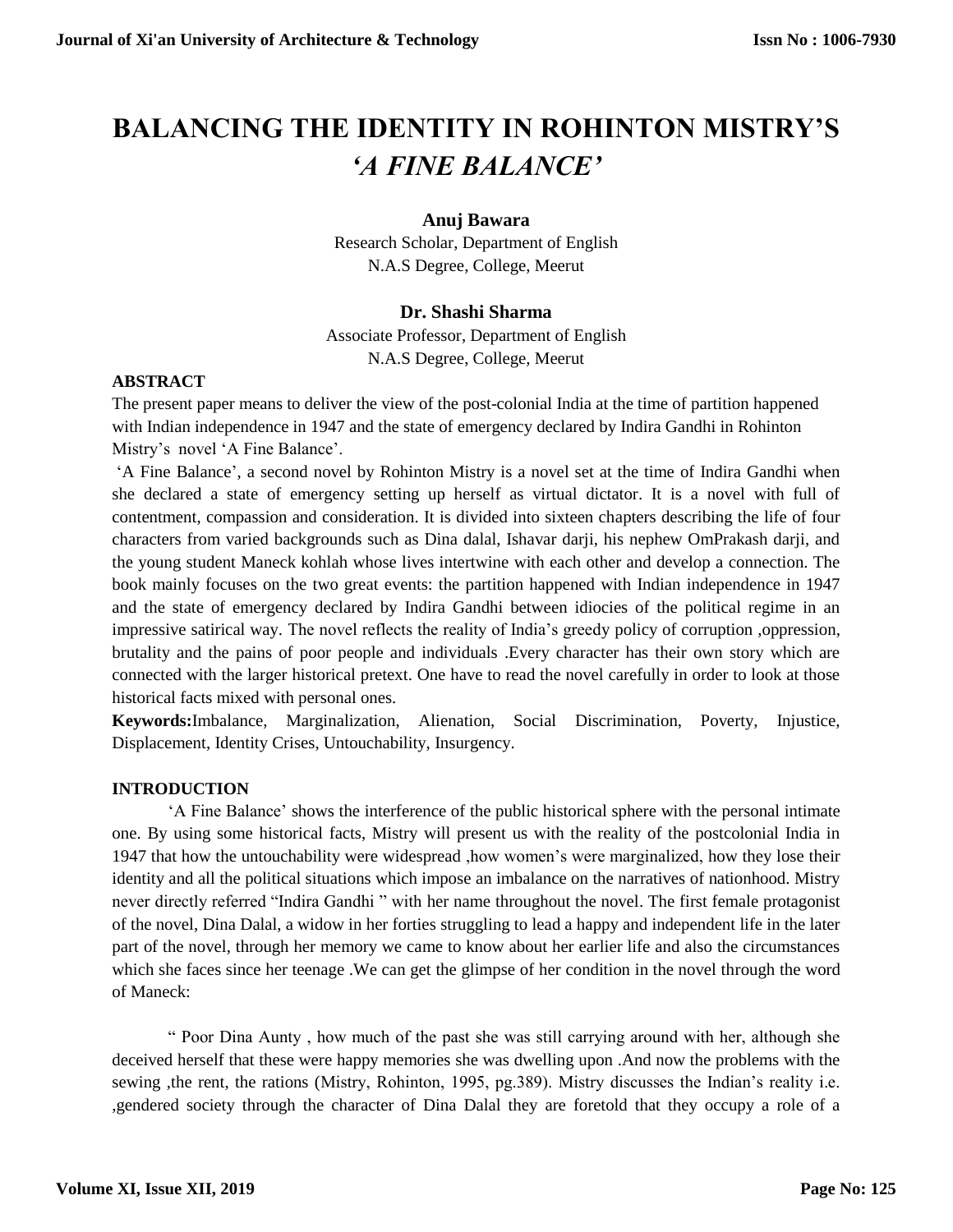# **BALANCING THE IDENTITY IN ROHINTON MISTRY'S**  *'A FINE BALANCE'*

### **Anuj Bawara**

Research Scholar, Department of English N.A.S Degree, College, Meerut

## **Dr. Shashi Sharma**

Associate Professor, Department of English N.A.S Degree, College, Meerut

#### **ABSTRACT**

The present paper means to deliver the view of the post-colonial India at the time of partition happened with Indian independence in 1947 and the state of emergency declared by Indira Gandhi in Rohinton Mistry's novel 'A Fine Balance'.

'A Fine Balance', a second novel by Rohinton Mistry is a novel set at the time of Indira Gandhi when she declared a state of emergency setting up herself as virtual dictator. It is a novel with full of contentment, compassion and consideration. It is divided into sixteen chapters describing the life of four characters from varied backgrounds such as Dina dalal, Ishavar darji, his nephew OmPrakash darji, and the young student Maneck kohlah whose lives intertwine with each other and develop a connection. The book mainly focuses on the two great events: the partition happened with Indian independence in 1947 and the state of emergency declared by Indira Gandhi between idiocies of the political regime in an impressive satirical way. The novel reflects the reality of India's greedy policy of corruption ,oppression, brutality and the pains of poor people and individuals .Every character has their own story which are connected with the larger historical pretext. One have to read the novel carefully in order to look at those historical facts mixed with personal ones.

**Keywords:**Imbalance, Marginalization, Alienation, Social Discrimination, Poverty, Injustice, Displacement, Identity Crises, Untouchability, Insurgency.

#### **INTRODUCTION**

'A Fine Balance' shows the interference of the public historical sphere with the personal intimate one. By using some historical facts, Mistry will present us with the reality of the postcolonial India in 1947 that how the untouchability were widespread ,how women's were marginalized, how they lose their identity and all the political situations which impose an imbalance on the narratives of nationhood. Mistry never directly referred "Indira Gandhi " with her name throughout the novel. The first female protagonist of the novel, Dina Dalal, a widow in her forties struggling to lead a happy and independent life in the later part of the novel, through her memory we came to know about her earlier life and also the circumstances which she faces since her teenage .We can get the glimpse of her condition in the novel through the word of Maneck:

" Poor Dina Aunty , how much of the past she was still carrying around with her, although she deceived herself that these were happy memories she was dwelling upon .And now the problems with the sewing ,the rent, the rations (Mistry, Rohinton, 1995, pg.389). Mistry discusses the Indian's reality i.e. ,gendered society through the character of Dina Dalal they are foretold that they occupy a role of a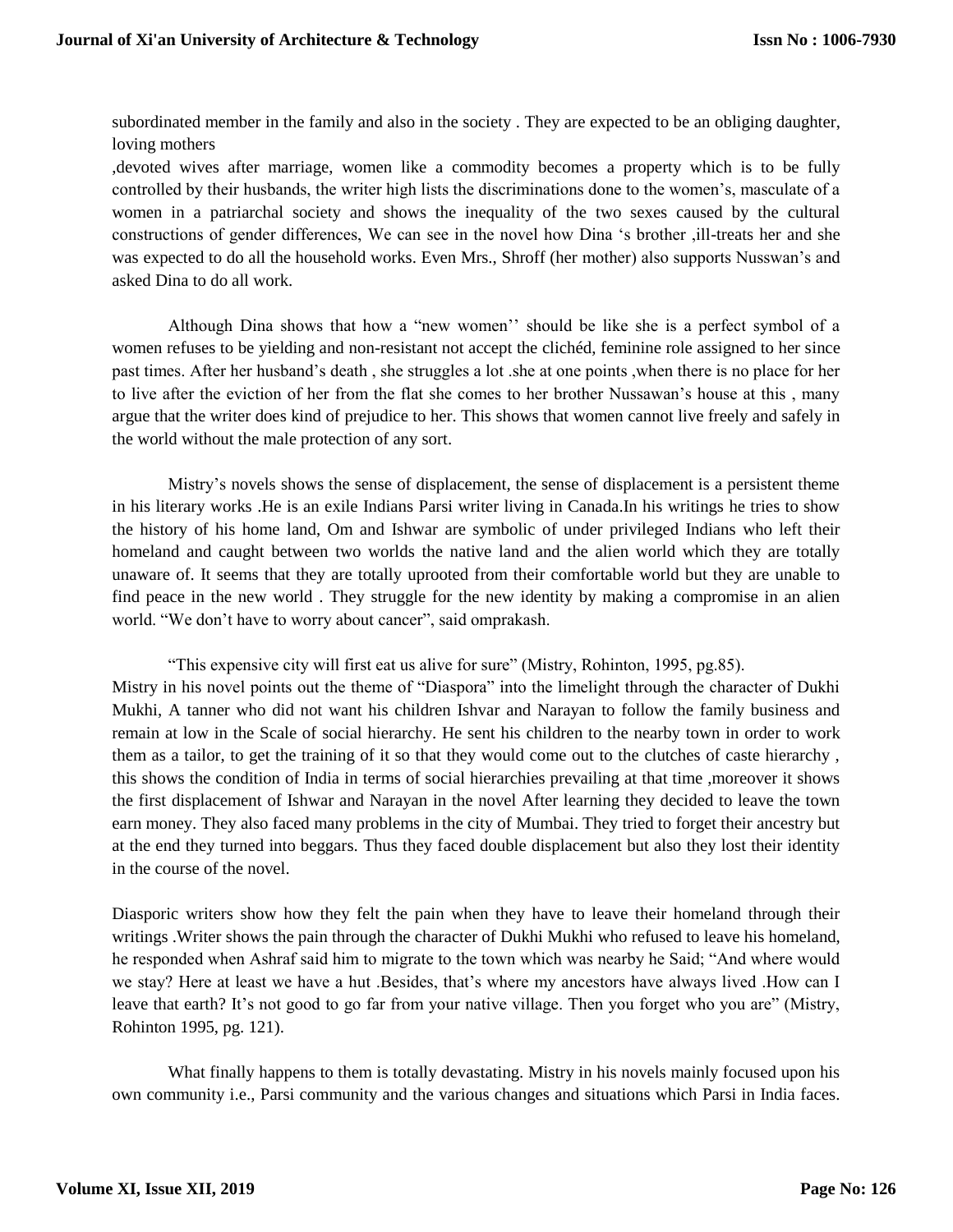subordinated member in the family and also in the society . They are expected to be an obliging daughter, loving mothers

,devoted wives after marriage, women like a commodity becomes a property which is to be fully controlled by their husbands, the writer high lists the discriminations done to the women's, masculate of a women in a patriarchal society and shows the inequality of the two sexes caused by the cultural constructions of gender differences, We can see in the novel how Dina 's brother ,ill-treats her and she was expected to do all the household works. Even Mrs., Shroff (her mother) also supports Nusswan's and asked Dina to do all work.

Although Dina shows that how a "new women'' should be like she is a perfect symbol of a women refuses to be yielding and non-resistant not accept the clichéd, feminine role assigned to her since past times. After her husband's death , she struggles a lot .she at one points ,when there is no place for her to live after the eviction of her from the flat she comes to her brother Nussawan's house at this , many argue that the writer does kind of prejudice to her. This shows that women cannot live freely and safely in the world without the male protection of any sort.

Mistry's novels shows the sense of displacement, the sense of displacement is a persistent theme in his literary works .He is an exile Indians Parsi writer living in Canada.In his writings he tries to show the history of his home land, Om and Ishwar are symbolic of under privileged Indians who left their homeland and caught between two worlds the native land and the alien world which they are totally unaware of. It seems that they are totally uprooted from their comfortable world but they are unable to find peace in the new world . They struggle for the new identity by making a compromise in an alien world. "We don't have to worry about cancer", said omprakash.

"This expensive city will first eat us alive for sure" (Mistry, Rohinton, 1995, pg.85). Mistry in his novel points out the theme of "Diaspora" into the limelight through the character of Dukhi Mukhi, A tanner who did not want his children Ishvar and Narayan to follow the family business and remain at low in the Scale of social hierarchy. He sent his children to the nearby town in order to work them as a tailor, to get the training of it so that they would come out to the clutches of caste hierarchy , this shows the condition of India in terms of social hierarchies prevailing at that time ,moreover it shows the first displacement of Ishwar and Narayan in the novel After learning they decided to leave the town earn money. They also faced many problems in the city of Mumbai. They tried to forget their ancestry but at the end they turned into beggars. Thus they faced double displacement but also they lost their identity in the course of the novel.

Diasporic writers show how they felt the pain when they have to leave their homeland through their writings .Writer shows the pain through the character of Dukhi Mukhi who refused to leave his homeland, he responded when Ashraf said him to migrate to the town which was nearby he Said; "And where would we stay? Here at least we have a hut .Besides, that's where my ancestors have always lived .How can I leave that earth? It's not good to go far from your native village. Then you forget who you are" (Mistry, Rohinton 1995, pg. 121).

What finally happens to them is totally devastating. Mistry in his novels mainly focused upon his own community i.e., Parsi community and the various changes and situations which Parsi in India faces.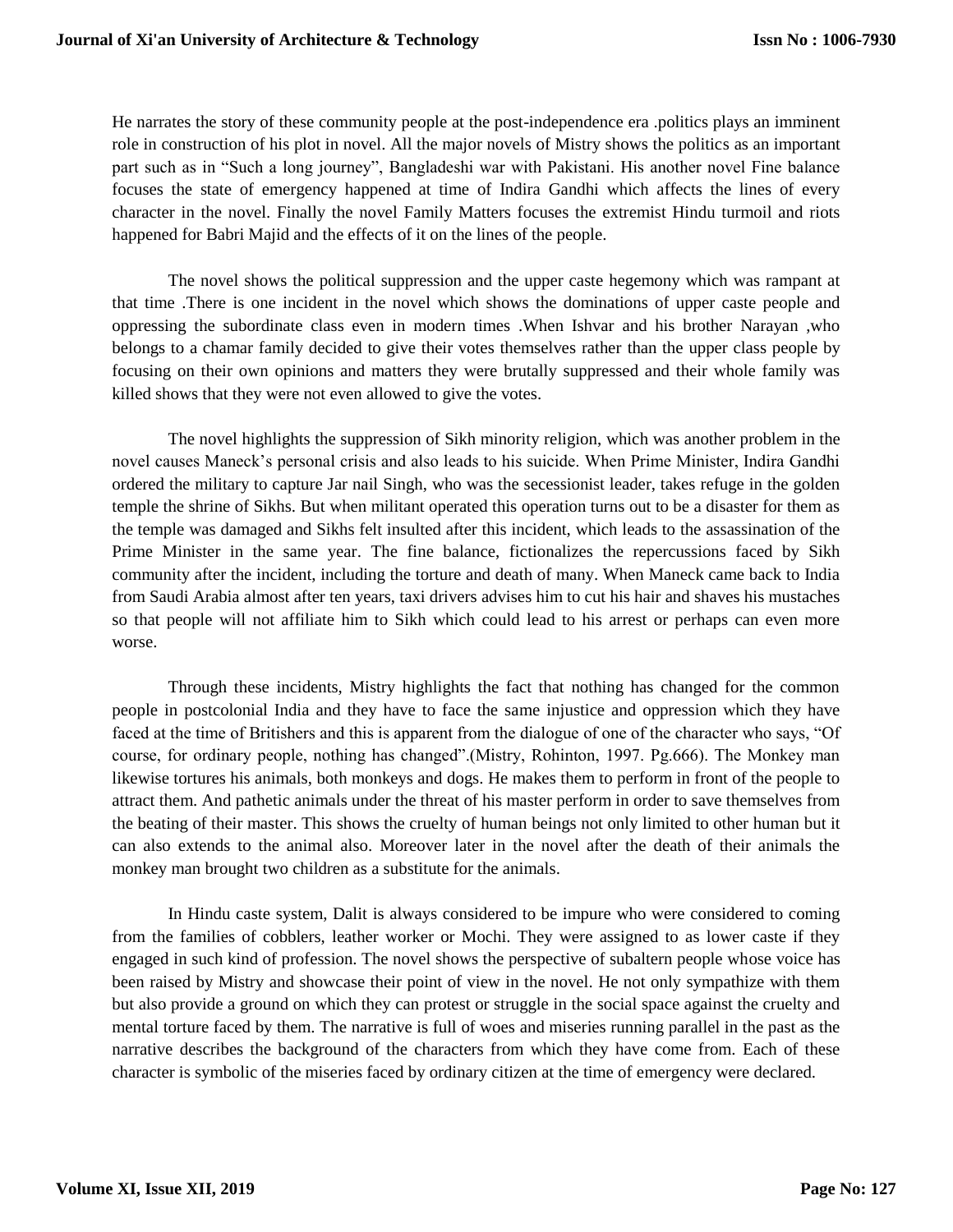He narrates the story of these community people at the post-independence era .politics plays an imminent role in construction of his plot in novel. All the major novels of Mistry shows the politics as an important part such as in "Such a long journey", Bangladeshi war with Pakistani. His another novel Fine balance focuses the state of emergency happened at time of Indira Gandhi which affects the lines of every character in the novel. Finally the novel Family Matters focuses the extremist Hindu turmoil and riots happened for Babri Majid and the effects of it on the lines of the people.

The novel shows the political suppression and the upper caste hegemony which was rampant at that time .There is one incident in the novel which shows the dominations of upper caste people and oppressing the subordinate class even in modern times .When Ishvar and his brother Narayan ,who belongs to a chamar family decided to give their votes themselves rather than the upper class people by focusing on their own opinions and matters they were brutally suppressed and their whole family was killed shows that they were not even allowed to give the votes.

The novel highlights the suppression of Sikh minority religion, which was another problem in the novel causes Maneck's personal crisis and also leads to his suicide. When Prime Minister, Indira Gandhi ordered the military to capture Jar nail Singh, who was the secessionist leader, takes refuge in the golden temple the shrine of Sikhs. But when militant operated this operation turns out to be a disaster for them as the temple was damaged and Sikhs felt insulted after this incident, which leads to the assassination of the Prime Minister in the same year. The fine balance, fictionalizes the repercussions faced by Sikh community after the incident, including the torture and death of many. When Maneck came back to India from Saudi Arabia almost after ten years, taxi drivers advises him to cut his hair and shaves his mustaches so that people will not affiliate him to Sikh which could lead to his arrest or perhaps can even more worse.

Through these incidents, Mistry highlights the fact that nothing has changed for the common people in postcolonial India and they have to face the same injustice and oppression which they have faced at the time of Britishers and this is apparent from the dialogue of one of the character who says, "Of course, for ordinary people, nothing has changed".(Mistry, Rohinton, 1997. Pg.666). The Monkey man likewise tortures his animals, both monkeys and dogs. He makes them to perform in front of the people to attract them. And pathetic animals under the threat of his master perform in order to save themselves from the beating of their master. This shows the cruelty of human beings not only limited to other human but it can also extends to the animal also. Moreover later in the novel after the death of their animals the monkey man brought two children as a substitute for the animals.

In Hindu caste system, Dalit is always considered to be impure who were considered to coming from the families of cobblers, leather worker or Mochi. They were assigned to as lower caste if they engaged in such kind of profession. The novel shows the perspective of subaltern people whose voice has been raised by Mistry and showcase their point of view in the novel. He not only sympathize with them but also provide a ground on which they can protest or struggle in the social space against the cruelty and mental torture faced by them. The narrative is full of woes and miseries running parallel in the past as the narrative describes the background of the characters from which they have come from. Each of these character is symbolic of the miseries faced by ordinary citizen at the time of emergency were declared.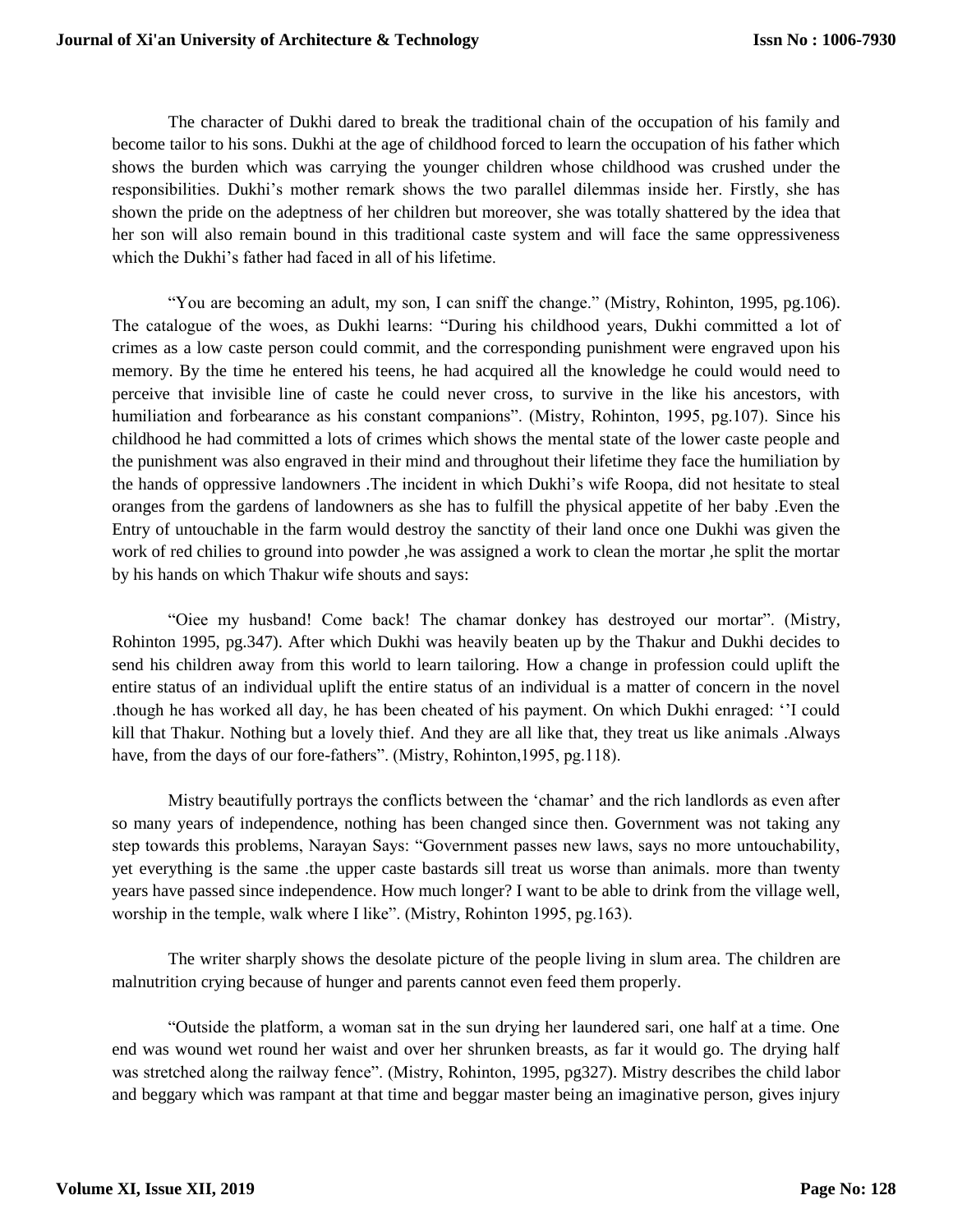The character of Dukhi dared to break the traditional chain of the occupation of his family and become tailor to his sons. Dukhi at the age of childhood forced to learn the occupation of his father which shows the burden which was carrying the younger children whose childhood was crushed under the responsibilities. Dukhi's mother remark shows the two parallel dilemmas inside her. Firstly, she has shown the pride on the adeptness of her children but moreover, she was totally shattered by the idea that her son will also remain bound in this traditional caste system and will face the same oppressiveness which the Dukhi's father had faced in all of his lifetime.

"You are becoming an adult, my son, I can sniff the change." (Mistry, Rohinton, 1995, pg.106). The catalogue of the woes, as Dukhi learns: "During his childhood years, Dukhi committed a lot of crimes as a low caste person could commit, and the corresponding punishment were engraved upon his memory. By the time he entered his teens, he had acquired all the knowledge he could would need to perceive that invisible line of caste he could never cross, to survive in the like his ancestors, with humiliation and forbearance as his constant companions". (Mistry, Rohinton, 1995, pg.107). Since his childhood he had committed a lots of crimes which shows the mental state of the lower caste people and the punishment was also engraved in their mind and throughout their lifetime they face the humiliation by the hands of oppressive landowners .The incident in which Dukhi's wife Roopa, did not hesitate to steal oranges from the gardens of landowners as she has to fulfill the physical appetite of her baby .Even the Entry of untouchable in the farm would destroy the sanctity of their land once one Dukhi was given the work of red chilies to ground into powder, he was assigned a work to clean the mortar, he split the mortar by his hands on which Thakur wife shouts and says:

"Oiee my husband! Come back! The chamar donkey has destroyed our mortar". (Mistry, Rohinton 1995, pg.347). After which Dukhi was heavily beaten up by the Thakur and Dukhi decides to send his children away from this world to learn tailoring. How a change in profession could uplift the entire status of an individual uplift the entire status of an individual is a matter of concern in the novel .though he has worked all day, he has been cheated of his payment. On which Dukhi enraged: ''I could kill that Thakur. Nothing but a lovely thief. And they are all like that, they treat us like animals .Always have, from the days of our fore-fathers". (Mistry, Rohinton, 1995, pg. 118).

Mistry beautifully portrays the conflicts between the 'chamar' and the rich landlords as even after so many years of independence, nothing has been changed since then. Government was not taking any step towards this problems, Narayan Says: "Government passes new laws, says no more untouchability, yet everything is the same .the upper caste bastards sill treat us worse than animals. more than twenty years have passed since independence. How much longer? I want to be able to drink from the village well, worship in the temple, walk where I like". (Mistry, Rohinton 1995, pg.163).

The writer sharply shows the desolate picture of the people living in slum area. The children are malnutrition crying because of hunger and parents cannot even feed them properly.

"Outside the platform, a woman sat in the sun drying her laundered sari, one half at a time. One end was wound wet round her waist and over her shrunken breasts, as far it would go. The drying half was stretched along the railway fence". (Mistry, Rohinton, 1995, pg327). Mistry describes the child labor and beggary which was rampant at that time and beggar master being an imaginative person, gives injury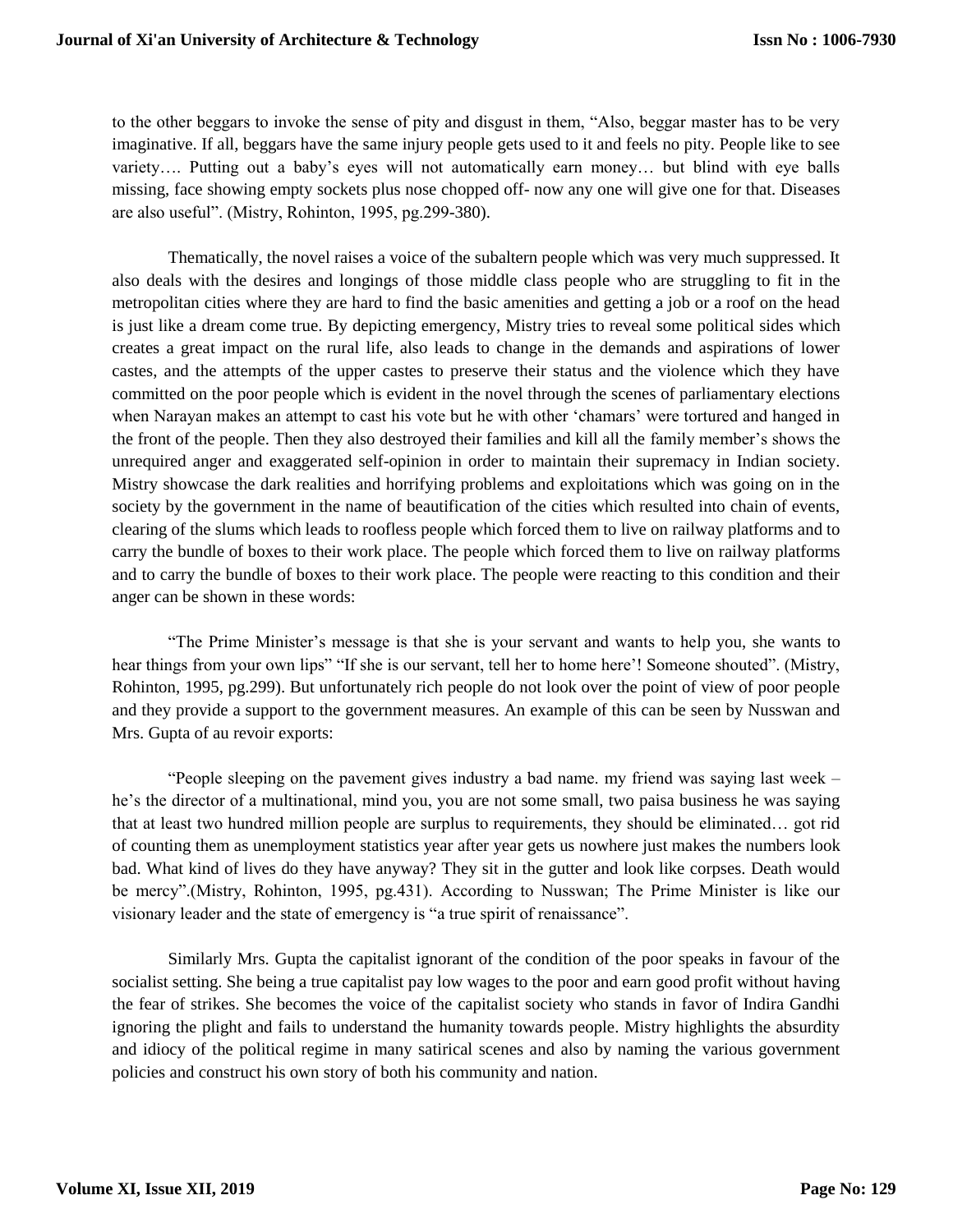to the other beggars to invoke the sense of pity and disgust in them, "Also, beggar master has to be very imaginative. If all, beggars have the same injury people gets used to it and feels no pity. People like to see variety…. Putting out a baby's eyes will not automatically earn money… but blind with eye balls missing, face showing empty sockets plus nose chopped off- now any one will give one for that. Diseases are also useful". (Mistry, Rohinton, 1995, pg.299-380).

Thematically, the novel raises a voice of the subaltern people which was very much suppressed. It also deals with the desires and longings of those middle class people who are struggling to fit in the metropolitan cities where they are hard to find the basic amenities and getting a job or a roof on the head is just like a dream come true. By depicting emergency, Mistry tries to reveal some political sides which creates a great impact on the rural life, also leads to change in the demands and aspirations of lower castes, and the attempts of the upper castes to preserve their status and the violence which they have committed on the poor people which is evident in the novel through the scenes of parliamentary elections when Narayan makes an attempt to cast his vote but he with other 'chamars' were tortured and hanged in the front of the people. Then they also destroyed their families and kill all the family member's shows the unrequired anger and exaggerated self-opinion in order to maintain their supremacy in Indian society. Mistry showcase the dark realities and horrifying problems and exploitations which was going on in the society by the government in the name of beautification of the cities which resulted into chain of events, clearing of the slums which leads to roofless people which forced them to live on railway platforms and to carry the bundle of boxes to their work place. The people which forced them to live on railway platforms and to carry the bundle of boxes to their work place. The people were reacting to this condition and their anger can be shown in these words:

"The Prime Minister's message is that she is your servant and wants to help you, she wants to hear things from your own lips" "If she is our servant, tell her to home here'! Someone shouted". (Mistry, Rohinton, 1995, pg.299). But unfortunately rich people do not look over the point of view of poor people and they provide a support to the government measures. An example of this can be seen by Nusswan and Mrs. Gupta of au revoir exports:

"People sleeping on the pavement gives industry a bad name. my friend was saying last week – he's the director of a multinational, mind you, you are not some small, two paisa business he was saying that at least two hundred million people are surplus to requirements, they should be eliminated… got rid of counting them as unemployment statistics year after year gets us nowhere just makes the numbers look bad. What kind of lives do they have anyway? They sit in the gutter and look like corpses. Death would be mercy".(Mistry, Rohinton, 1995, pg.431). According to Nusswan; The Prime Minister is like our visionary leader and the state of emergency is "a true spirit of renaissance".

Similarly Mrs. Gupta the capitalist ignorant of the condition of the poor speaks in favour of the socialist setting. She being a true capitalist pay low wages to the poor and earn good profit without having the fear of strikes. She becomes the voice of the capitalist society who stands in favor of Indira Gandhi ignoring the plight and fails to understand the humanity towards people. Mistry highlights the absurdity and idiocy of the political regime in many satirical scenes and also by naming the various government policies and construct his own story of both his community and nation.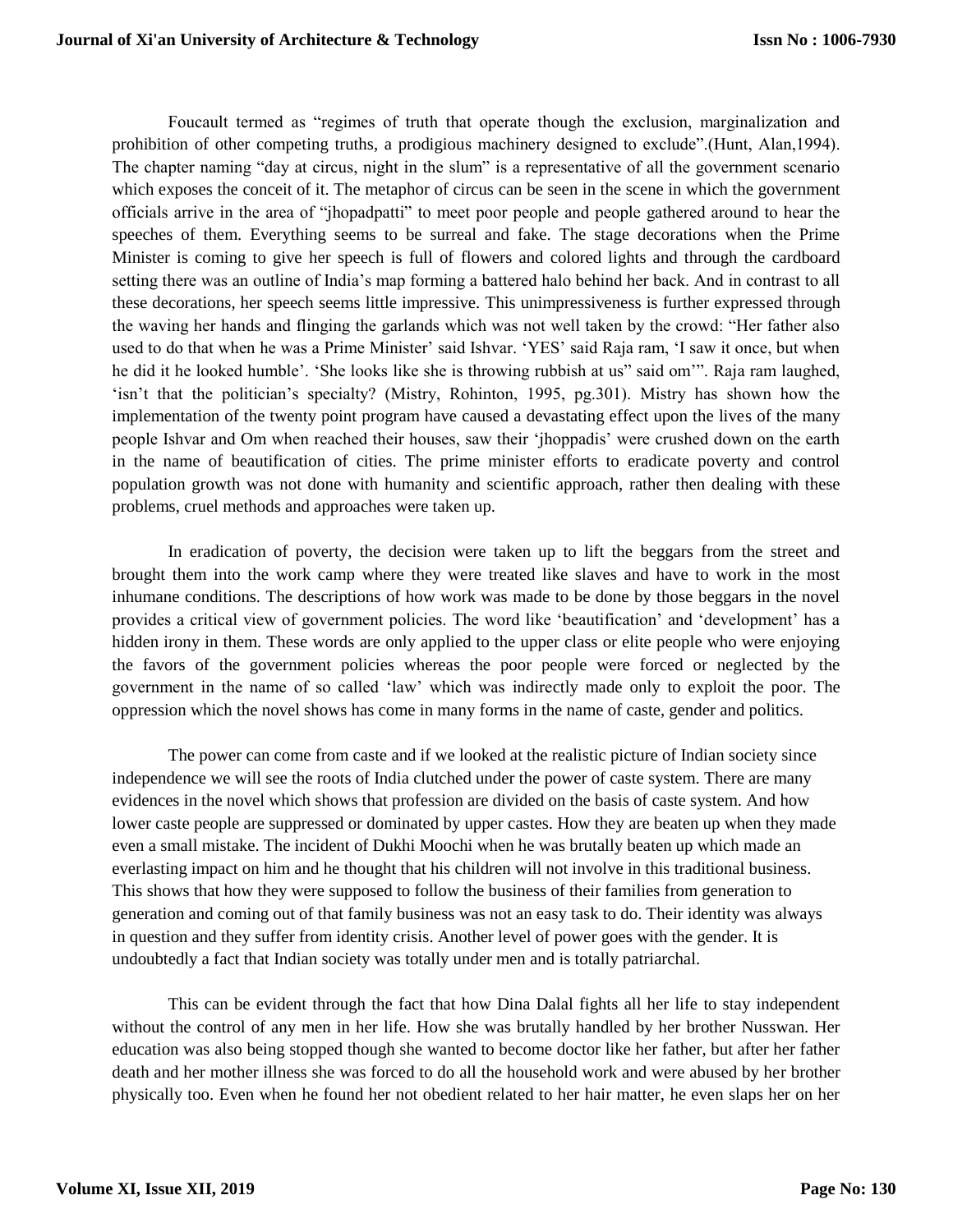Foucault termed as "regimes of truth that operate though the exclusion, marginalization and prohibition of other competing truths, a prodigious machinery designed to exclude".(Hunt, Alan,1994). The chapter naming "day at circus, night in the slum" is a representative of all the government scenario which exposes the conceit of it. The metaphor of circus can be seen in the scene in which the government officials arrive in the area of "jhopadpatti" to meet poor people and people gathered around to hear the speeches of them. Everything seems to be surreal and fake. The stage decorations when the Prime Minister is coming to give her speech is full of flowers and colored lights and through the cardboard setting there was an outline of India's map forming a battered halo behind her back. And in contrast to all these decorations, her speech seems little impressive. This unimpressiveness is further expressed through the waving her hands and flinging the garlands which was not well taken by the crowd: "Her father also used to do that when he was a Prime Minister' said Ishvar. 'YES' said Raja ram, 'I saw it once, but when he did it he looked humble'. 'She looks like she is throwing rubbish at us" said om'". Raja ram laughed, 'isn't that the politician's specialty? (Mistry, Rohinton, 1995, pg.301). Mistry has shown how the implementation of the twenty point program have caused a devastating effect upon the lives of the many people Ishvar and Om when reached their houses, saw their 'jhoppadis' were crushed down on the earth in the name of beautification of cities. The prime minister efforts to eradicate poverty and control population growth was not done with humanity and scientific approach, rather then dealing with these problems, cruel methods and approaches were taken up.

In eradication of poverty, the decision were taken up to lift the beggars from the street and brought them into the work camp where they were treated like slaves and have to work in the most inhumane conditions. The descriptions of how work was made to be done by those beggars in the novel provides a critical view of government policies. The word like 'beautification' and 'development' has a hidden irony in them. These words are only applied to the upper class or elite people who were enjoying the favors of the government policies whereas the poor people were forced or neglected by the government in the name of so called 'law' which was indirectly made only to exploit the poor. The oppression which the novel shows has come in many forms in the name of caste, gender and politics.

The power can come from caste and if we looked at the realistic picture of Indian society since independence we will see the roots of India clutched under the power of caste system. There are many evidences in the novel which shows that profession are divided on the basis of caste system. And how lower caste people are suppressed or dominated by upper castes. How they are beaten up when they made even a small mistake. The incident of Dukhi Moochi when he was brutally beaten up which made an everlasting impact on him and he thought that his children will not involve in this traditional business. This shows that how they were supposed to follow the business of their families from generation to generation and coming out of that family business was not an easy task to do. Their identity was always in question and they suffer from identity crisis. Another level of power goes with the gender. It is undoubtedly a fact that Indian society was totally under men and is totally patriarchal.

This can be evident through the fact that how Dina Dalal fights all her life to stay independent without the control of any men in her life. How she was brutally handled by her brother Nusswan. Her education was also being stopped though she wanted to become doctor like her father, but after her father death and her mother illness she was forced to do all the household work and were abused by her brother physically too. Even when he found her not obedient related to her hair matter, he even slaps her on her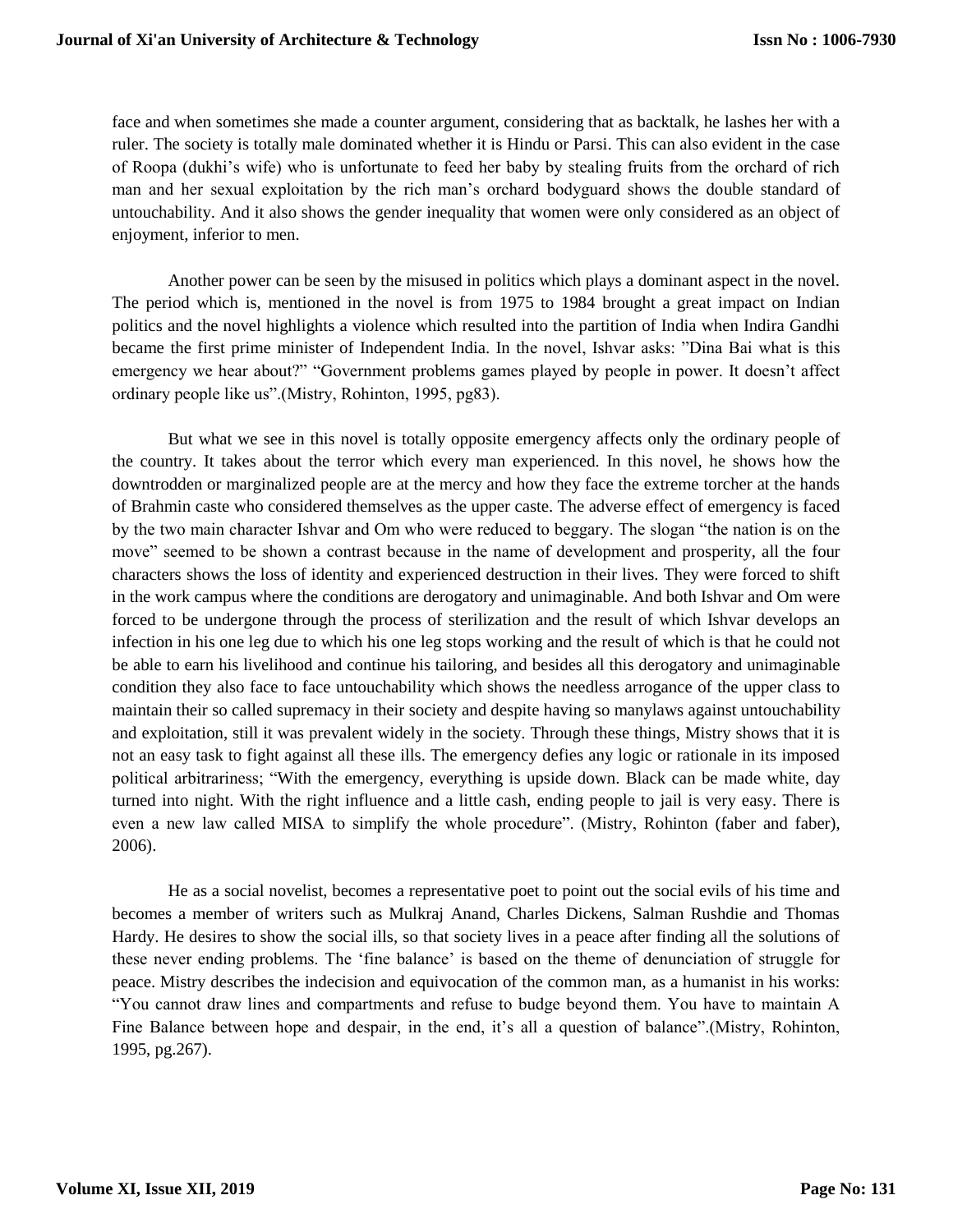face and when sometimes she made a counter argument, considering that as backtalk, he lashes her with a ruler. The society is totally male dominated whether it is Hindu or Parsi. This can also evident in the case of Roopa (dukhi's wife) who is unfortunate to feed her baby by stealing fruits from the orchard of rich man and her sexual exploitation by the rich man's orchard bodyguard shows the double standard of untouchability. And it also shows the gender inequality that women were only considered as an object of enjoyment, inferior to men.

Another power can be seen by the misused in politics which plays a dominant aspect in the novel. The period which is, mentioned in the novel is from 1975 to 1984 brought a great impact on Indian politics and the novel highlights a violence which resulted into the partition of India when Indira Gandhi became the first prime minister of Independent India. In the novel, Ishvar asks: "Dina Bai what is this emergency we hear about?" "Government problems games played by people in power. It doesn't affect ordinary people like us".(Mistry, Rohinton, 1995, pg83).

But what we see in this novel is totally opposite emergency affects only the ordinary people of the country. It takes about the terror which every man experienced. In this novel, he shows how the downtrodden or marginalized people are at the mercy and how they face the extreme torcher at the hands of Brahmin caste who considered themselves as the upper caste. The adverse effect of emergency is faced by the two main character Ishvar and Om who were reduced to beggary. The slogan "the nation is on the move" seemed to be shown a contrast because in the name of development and prosperity, all the four characters shows the loss of identity and experienced destruction in their lives. They were forced to shift in the work campus where the conditions are derogatory and unimaginable. And both Ishvar and Om were forced to be undergone through the process of sterilization and the result of which Ishvar develops an infection in his one leg due to which his one leg stops working and the result of which is that he could not be able to earn his livelihood and continue his tailoring, and besides all this derogatory and unimaginable condition they also face to face untouchability which shows the needless arrogance of the upper class to maintain their so called supremacy in their society and despite having so manylaws against untouchability and exploitation, still it was prevalent widely in the society. Through these things, Mistry shows that it is not an easy task to fight against all these ills. The emergency defies any logic or rationale in its imposed political arbitrariness; "With the emergency, everything is upside down. Black can be made white, day turned into night. With the right influence and a little cash, ending people to jail is very easy. There is even a new law called MISA to simplify the whole procedure". (Mistry, Rohinton (faber and faber), 2006).

He as a social novelist, becomes a representative poet to point out the social evils of his time and becomes a member of writers such as Mulkraj Anand, Charles Dickens, Salman Rushdie and Thomas Hardy. He desires to show the social ills, so that society lives in a peace after finding all the solutions of these never ending problems. The 'fine balance' is based on the theme of denunciation of struggle for peace. Mistry describes the indecision and equivocation of the common man, as a humanist in his works: "You cannot draw lines and compartments and refuse to budge beyond them. You have to maintain A Fine Balance between hope and despair, in the end, it's all a question of balance".(Mistry, Rohinton, 1995, pg.267).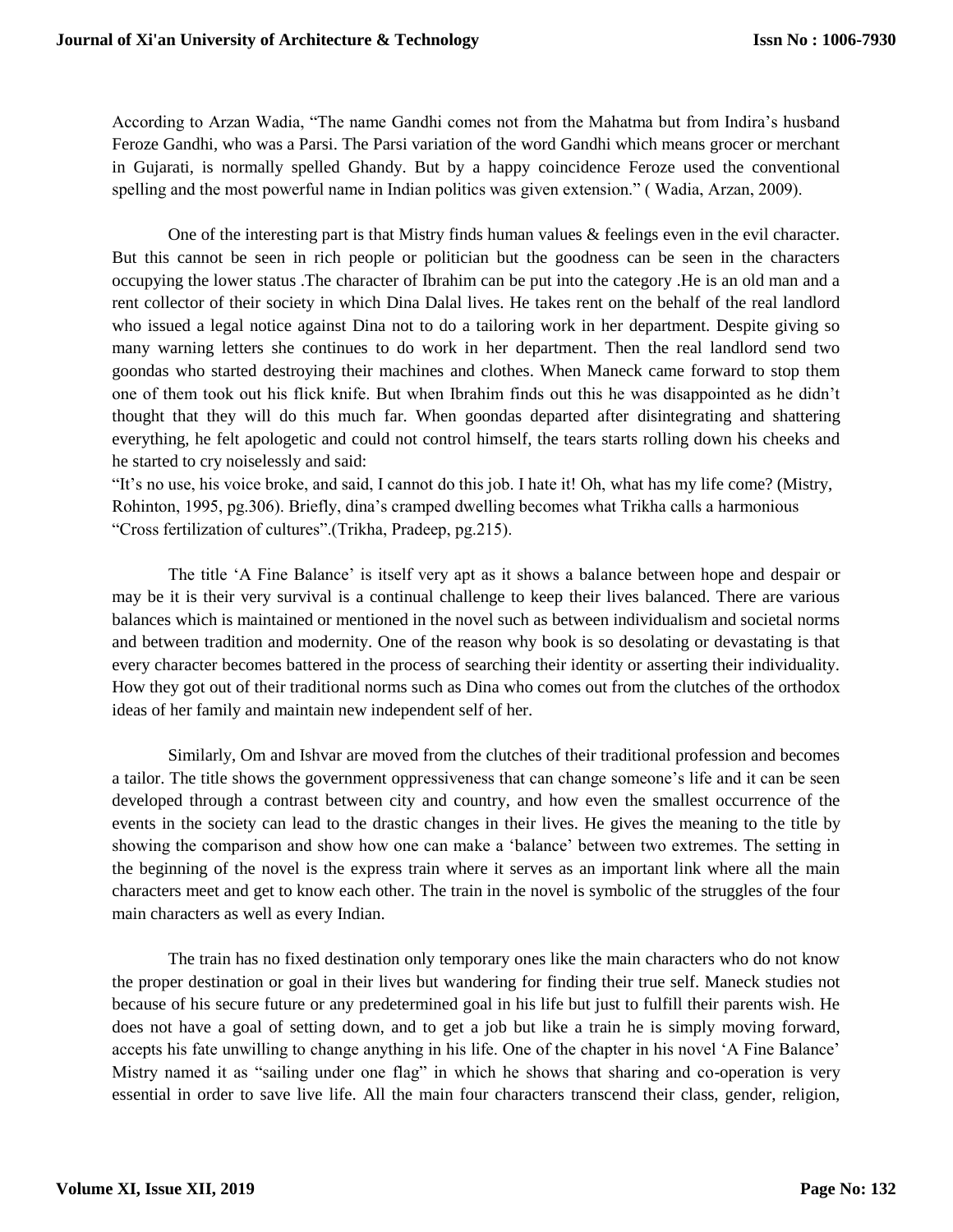According to Arzan Wadia, "The name Gandhi comes not from the Mahatma but from Indira's husband Feroze Gandhi, who was a Parsi. The Parsi variation of the word Gandhi which means grocer or merchant in Gujarati, is normally spelled Ghandy. But by a happy coincidence Feroze used the conventional spelling and the most powerful name in Indian politics was given extension." ( Wadia, Arzan, 2009).

One of the interesting part is that Mistry finds human values & feelings even in the evil character. But this cannot be seen in rich people or politician but the goodness can be seen in the characters occupying the lower status .The character of Ibrahim can be put into the category .He is an old man and a rent collector of their society in which Dina Dalal lives. He takes rent on the behalf of the real landlord who issued a legal notice against Dina not to do a tailoring work in her department. Despite giving so many warning letters she continues to do work in her department. Then the real landlord send two goondas who started destroying their machines and clothes. When Maneck came forward to stop them one of them took out his flick knife. But when Ibrahim finds out this he was disappointed as he didn't thought that they will do this much far. When goondas departed after disintegrating and shattering everything, he felt apologetic and could not control himself, the tears starts rolling down his cheeks and he started to cry noiselessly and said:

"It's no use, his voice broke, and said, I cannot do this job. I hate it! Oh, what has my life come? (Mistry, Rohinton, 1995, pg.306). Briefly, dina's cramped dwelling becomes what Trikha calls a harmonious "Cross fertilization of cultures".(Trikha, Pradeep, pg.215).

The title 'A Fine Balance' is itself very apt as it shows a balance between hope and despair or may be it is their very survival is a continual challenge to keep their lives balanced. There are various balances which is maintained or mentioned in the novel such as between individualism and societal norms and between tradition and modernity. One of the reason why book is so desolating or devastating is that every character becomes battered in the process of searching their identity or asserting their individuality. How they got out of their traditional norms such as Dina who comes out from the clutches of the orthodox ideas of her family and maintain new independent self of her.

Similarly, Om and Ishvar are moved from the clutches of their traditional profession and becomes a tailor. The title shows the government oppressiveness that can change someone's life and it can be seen developed through a contrast between city and country, and how even the smallest occurrence of the events in the society can lead to the drastic changes in their lives. He gives the meaning to the title by showing the comparison and show how one can make a 'balance' between two extremes. The setting in the beginning of the novel is the express train where it serves as an important link where all the main characters meet and get to know each other. The train in the novel is symbolic of the struggles of the four main characters as well as every Indian.

The train has no fixed destination only temporary ones like the main characters who do not know the proper destination or goal in their lives but wandering for finding their true self. Maneck studies not because of his secure future or any predetermined goal in his life but just to fulfill their parents wish. He does not have a goal of setting down, and to get a job but like a train he is simply moving forward, accepts his fate unwilling to change anything in his life. One of the chapter in his novel 'A Fine Balance' Mistry named it as "sailing under one flag" in which he shows that sharing and co-operation is very essential in order to save live life. All the main four characters transcend their class, gender, religion,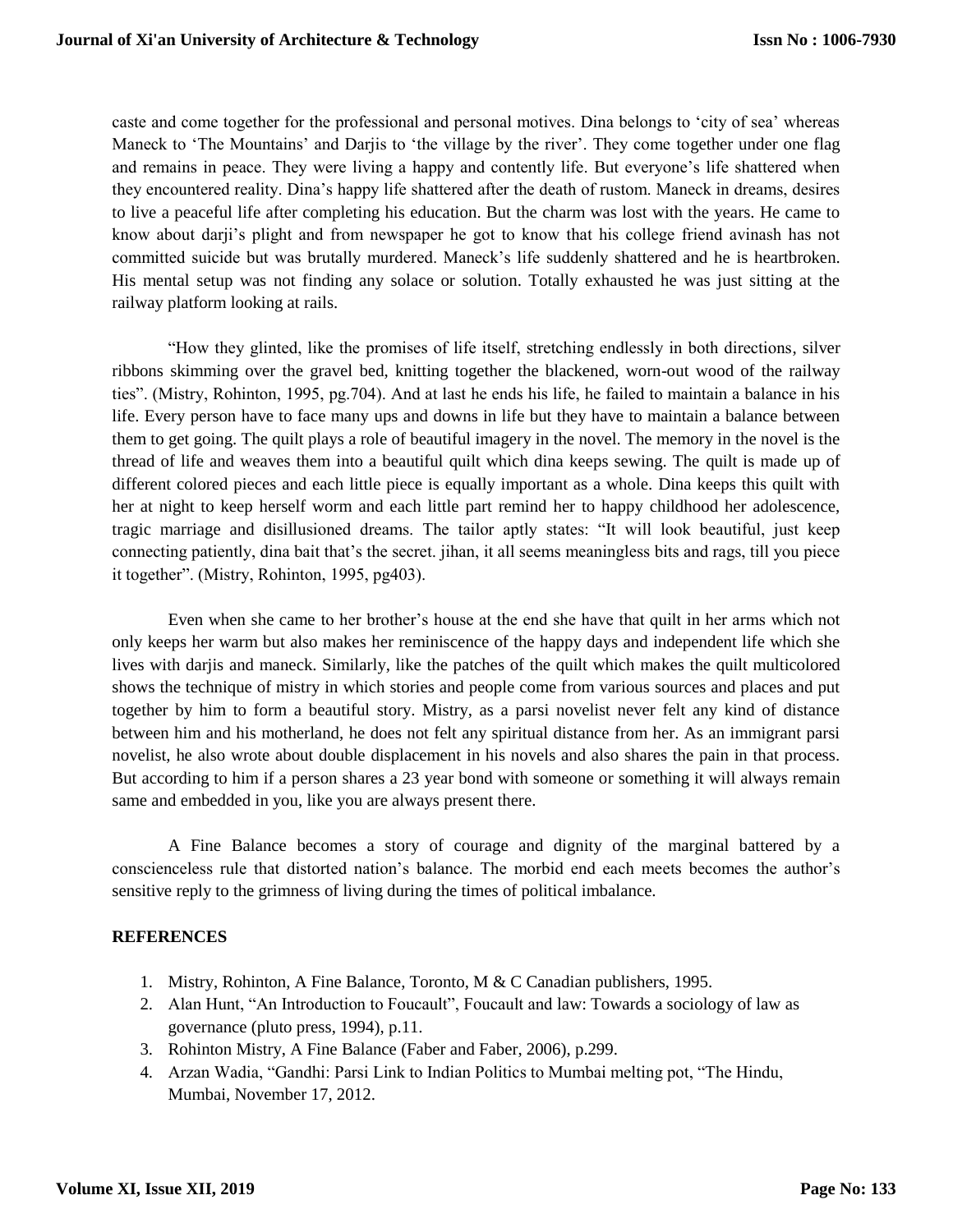caste and come together for the professional and personal motives. Dina belongs to 'city of sea' whereas Maneck to 'The Mountains' and Darjis to 'the village by the river'. They come together under one flag and remains in peace. They were living a happy and contently life. But everyone's life shattered when they encountered reality. Dina's happy life shattered after the death of rustom. Maneck in dreams, desires to live a peaceful life after completing his education. But the charm was lost with the years. He came to know about darji's plight and from newspaper he got to know that his college friend avinash has not committed suicide but was brutally murdered. Maneck's life suddenly shattered and he is heartbroken. His mental setup was not finding any solace or solution. Totally exhausted he was just sitting at the railway platform looking at rails.

"How they glinted, like the promises of life itself, stretching endlessly in both directions, silver ribbons skimming over the gravel bed, knitting together the blackened, worn-out wood of the railway ties". (Mistry, Rohinton, 1995, pg.704). And at last he ends his life, he failed to maintain a balance in his life. Every person have to face many ups and downs in life but they have to maintain a balance between them to get going. The quilt plays a role of beautiful imagery in the novel. The memory in the novel is the thread of life and weaves them into a beautiful quilt which dina keeps sewing. The quilt is made up of different colored pieces and each little piece is equally important as a whole. Dina keeps this quilt with her at night to keep herself worm and each little part remind her to happy childhood her adolescence, tragic marriage and disillusioned dreams. The tailor aptly states: "It will look beautiful, just keep connecting patiently, dina bait that's the secret. jihan, it all seems meaningless bits and rags, till you piece it together". (Mistry, Rohinton, 1995, pg403).

Even when she came to her brother's house at the end she have that quilt in her arms which not only keeps her warm but also makes her reminiscence of the happy days and independent life which she lives with darjis and maneck. Similarly, like the patches of the quilt which makes the quilt multicolored shows the technique of mistry in which stories and people come from various sources and places and put together by him to form a beautiful story. Mistry, as a parsi novelist never felt any kind of distance between him and his motherland, he does not felt any spiritual distance from her. As an immigrant parsi novelist, he also wrote about double displacement in his novels and also shares the pain in that process. But according to him if a person shares a 23 year bond with someone or something it will always remain same and embedded in you, like you are always present there.

A Fine Balance becomes a story of courage and dignity of the marginal battered by a conscienceless rule that distorted nation's balance. The morbid end each meets becomes the author's sensitive reply to the grimness of living during the times of political imbalance.

#### **REFERENCES**

- 1. Mistry, Rohinton, A Fine Balance, Toronto, M & C Canadian publishers, 1995.
- 2. Alan Hunt, "An Introduction to Foucault", Foucault and law: Towards a sociology of law as governance (pluto press, 1994), p.11.
- 3. Rohinton Mistry, A Fine Balance (Faber and Faber, 2006), p.299.
- 4. Arzan Wadia, "Gandhi: Parsi Link to Indian Politics to Mumbai melting pot, "The Hindu, Mumbai, November 17, 2012.